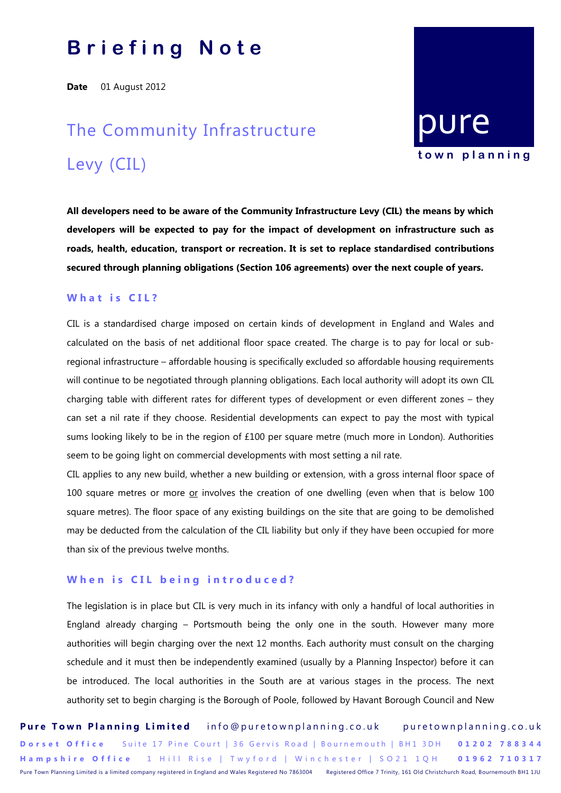## **B r i e f i n g N o t e**

**Date** 01 August 2012

# The Community Infrastructure Levy (CIL)

**All developers need to be aware of the Community Infrastructure Levy (CIL) the means by which developers will be expected to pay for the impact of development on infrastructure such as roads, health, education, transport or recreation. It is set to replace standardised contributions secured through planning obligations (Section 106 agreements) over the next couple of years.**

[pure](http://puretownplanning.co.uk/)

**t o w n p l a n n i n g**

### **What is CIL?**

CIL is a standardised charge imposed on certain kinds of development in England and Wales and calculated on the basis of net additional floor space created. The charge is to pay for local or subregional infrastructure – affordable housing is specifically excluded so affordable housing requirements will continue to be negotiated through planning obligations. Each local authority will adopt its own CIL charging table with different rates for different types of development or even different zones – they can set a nil rate if they choose. Residential developments can expect to pay the most with typical sums looking likely to be in the region of £100 per square metre (much more in London). Authorities seem to be going light on commercial developments with most setting a nil rate.

CIL applies to any new build, whether a new building or extension, with a gross internal floor space of 100 square metres or more or involves the creation of one dwelling (even when that is below 100 square metres). The floor space of any existing buildings on the site that are going to be demolished may be deducted from the calculation of the CIL liability but only if they have been occupied for more than six of the previous twelve months.

#### **When is CIL being introduced?**

The legislation is in place but CIL is very much in its infancy with only a handful of local authorities in England already charging – Portsmouth being the only one in the south. However many more authorities will begin charging over the next 12 months. Each authority must consult on the charging schedule and it must then be independently examined (usually by a Planning Inspector) before it can be introduced. The local authorities in the South are at various stages in the process. The next authority set to begin charging is the Borough of Poole, followed by Havant Borough Council and New

Pure Town Planning Limited info@puretownplanning.co.uk puretownplanning.co.uk **Dorset Office** Suite 17 Pine Court | 36 Gervis Road | Bournemouth | BH1 3DH 01202 788344 **H a m p s h i r e O f f i c e** 1 H i l l R i s e | T w y f o r d | W i n c h e s t e r | S O 2 1 1 Q H **0 1 9 6 2 7 1 0 3 1 7** Pure Town Planning Limited is a limited company registered in England and Wales Registered No 7863004 Registered Office 7 Trinity, 161 Old Christchurch Road, Bournemouth BH1 1JU